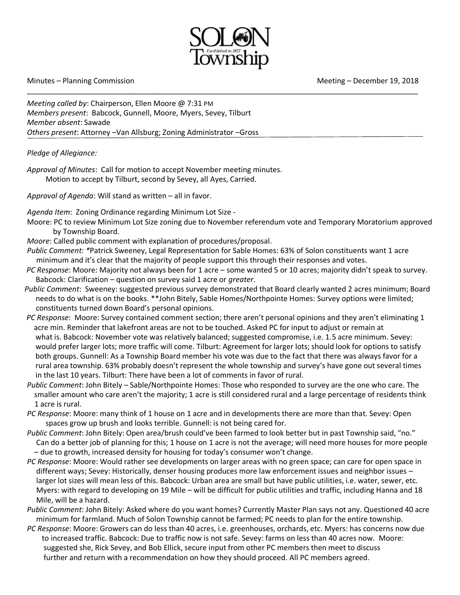

\_\_\_\_\_\_\_\_\_\_\_\_\_\_\_\_\_\_\_\_\_\_\_\_\_\_\_\_\_\_\_\_\_\_\_\_\_\_\_\_\_\_\_\_\_\_\_\_\_\_\_\_\_\_\_\_\_\_\_\_\_\_\_\_\_\_\_\_\_\_\_\_\_\_\_\_\_\_\_\_\_\_\_\_\_\_\_\_\_\_\_\_\_\_\_

Minutes – Planning Commission and Meeting – December 19, 2018

*Meeting called by*: Chairperson, Ellen Moore @ 7:31 PM *Members present*: Babcock, Gunnell, Moore, Myers, Sevey, Tilburt *Member absent*: Sawade *Others present*: Attorney –Van Allsburg; Zoning Administrator –Gross

## *Pledge of Allegiance:*

*Approval of Minutes*: Call for motion to accept November meeting minutes. Motion to accept by Tilburt, second by Sevey, all Ayes, Carried.

*Approval of Agenda*: Will stand as written – all in favor.

*Agenda Item*: Zoning Ordinance regarding Minimum Lot Size -

- Moore: PC to review Minimum Lot Size zoning due to November referendum vote and Temporary Moratorium approved by Township Board.
- *Moore*: Called public comment with explanation of procedures/proposal.
- *Public Comment: \**Patrick Sweeney, Legal Representation for Sable Homes: 63% of Solon constituents want 1 acre minimum and it's clear that the majority of people support this through their responses and votes.
- *PC Response*: Moore: Majority not always been for 1 acre some wanted 5 or 10 acres; majority didn't speak to survey. Babcock: Clarification – question on survey said 1 acre or *greater*.
- *Public Comment*: Sweeney: suggested previous survey demonstrated that Board clearly wanted 2 acres minimum; Board needs to do what is on the books. \*\*John Bitely, Sable Homes/Northpointe Homes: Survey options were limited; constituents turned down Board's personal opinions.
- *PC Response*: Moore: Survey contained comment section; there aren't personal opinions and they aren't eliminating 1 acre min. Reminder that lakefront areas are not to be touched. Asked PC for input to adjust or remain at what is. Babcock: November vote was relatively balanced; suggested compromise, i.e. 1.5 acre minimum. Sevey: would prefer larger lots; more traffic will come. Tilburt: Agreement for larger lots; should look for options to satisfy both groups. Gunnell: As a Township Board member his vote was due to the fact that there was always favor for a rural area township. 63% probably doesn't represent the whole township and survey's have gone out several times in the last 10 years. Tilburt: There have been a lot of comments in favor of rural.
- *Public Comment*: John Bitely Sable/Northpointe Homes: Those who responded to survey are the one who care. The smaller amount who care aren't the majority; 1 acre is still considered rural and a large percentage of residents think 1 acre is rural.
- *PC Response*: Moore: many think of 1 house on 1 acre and in developments there are more than that. Sevey: Open spaces grow up brush and looks terrible. Gunnell: is not being cared for.
- *Public Comment*: John Bitely: Open area/brush could've been farmed to look better but in past Township said, "no." Can do a better job of planning for this; 1 house on 1 acre is not the average; will need more houses for more people – due to growth, increased density for housing for today's consumer won't change.
- *PC Response*: Moore: Would rather see developments on larger areas with no green space; can care for open space in different ways; Sevey: Historically, denser housing produces more law enforcement issues and neighbor issues – larger lot sizes will mean less of this. Babcock: Urban area are small but have public utilities, i.e. water, sewer, etc. Myers: with regard to developing on 19 Mile – will be difficult for public utilities and traffic, including Hanna and 18 Mile, will be a hazard.
- *Public Comment*: John Bitely: Asked where do you want homes? Currently Master Plan says not any. Questioned 40 acre minimum for farmland. Much of Solon Township cannot be farmed; PC needs to plan for the entire township.
- *PC Response*: Moore: Growers can do less than 40 acres, i.e. greenhouses, orchards, etc. Myers: has concerns now due to increased traffic. Babcock: Due to traffic now is not safe. Sevey: farms on less than 40 acres now. Moore: suggested she, Rick Sevey, and Bob Ellick, secure input from other PC members then meet to discuss further and return with a recommendation on how they should proceed. All PC members agreed.